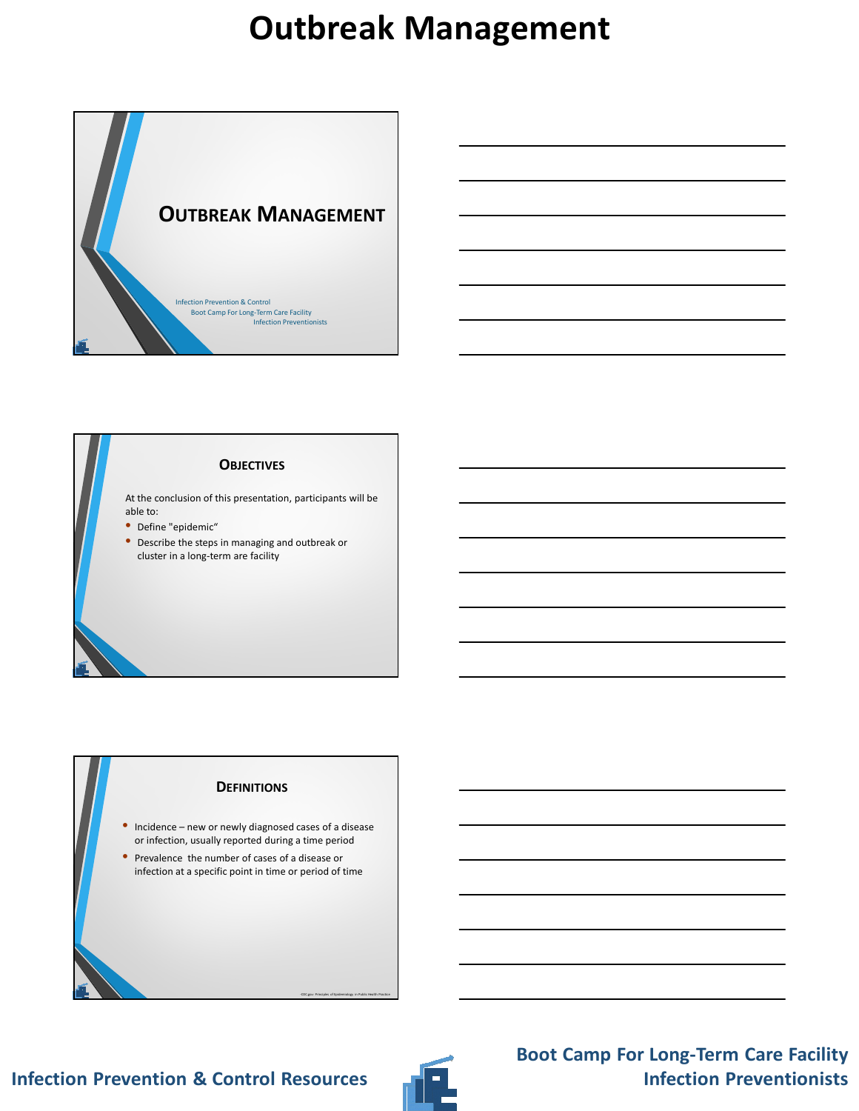



### **DEFINITIONS**

- Incidence new or newly diagnosed cases of a disease or infection, usually reported during a time period
- Prevalence the number of cases of a disease or infection at a specific point in time or period of time





-CDC.gov: Principles of Epidemiology in Public Health Practice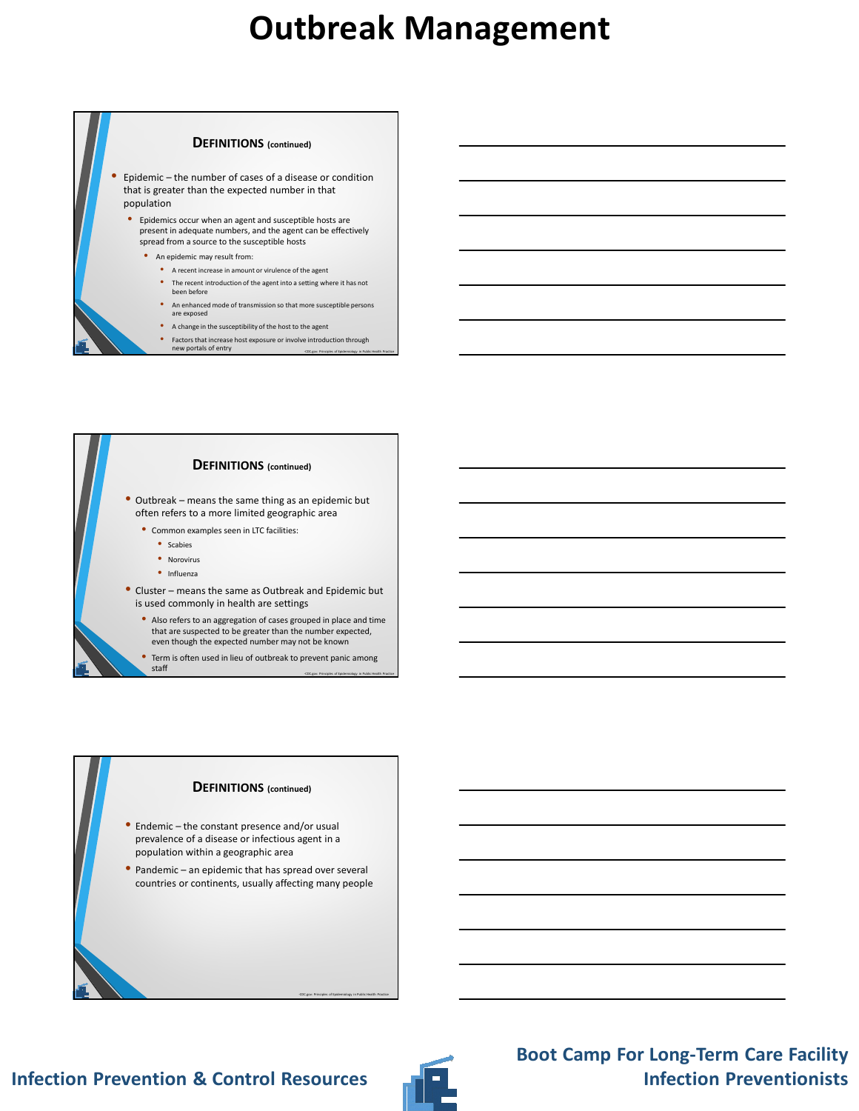





- Endemic the constant presence and/or usual prevalence of a disease or infectious agent in a population within a geographic area
- Pandemic an epidemic that has spread over several countries or continents, usually affecting many people



-CDC.gov: Principles of Epidemiology in Public Health Practice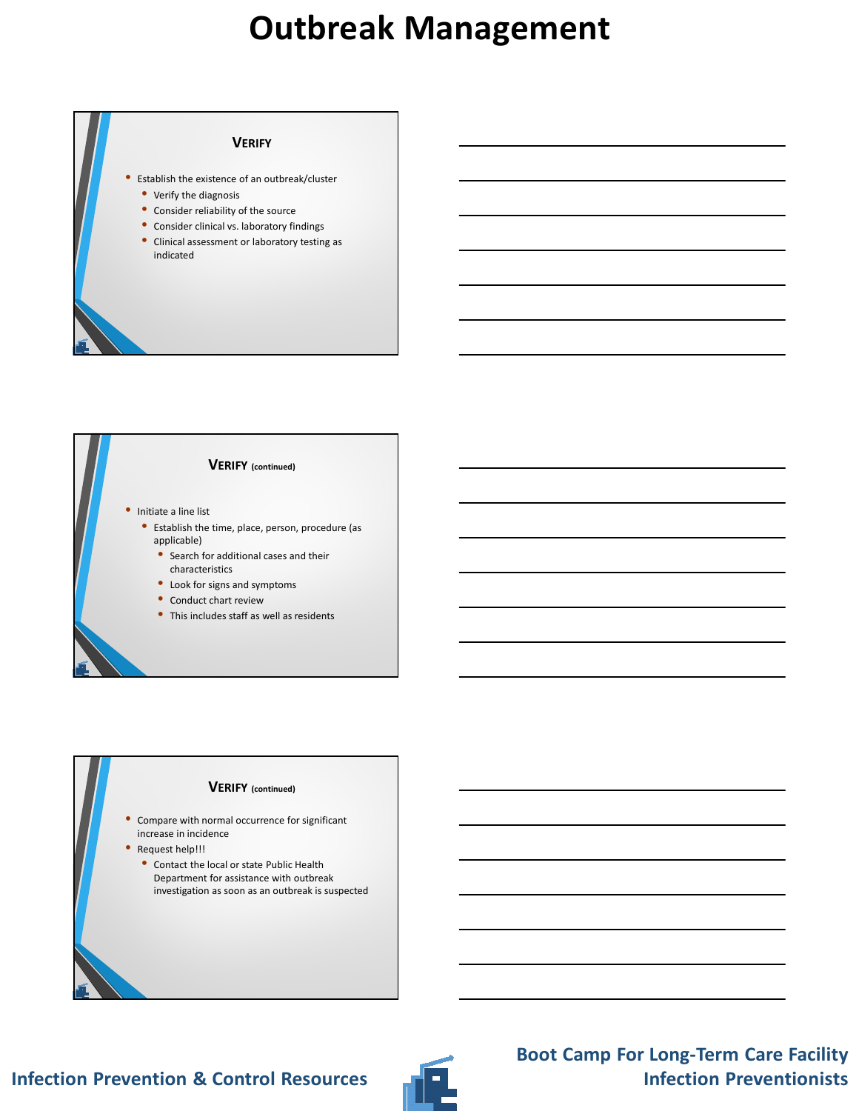#### **VERIFY**

- Establish the existence of an outbreak/cluster
- Verify the diagnosis
- Consider reliability of the source
- Consider clinical vs. laboratory findings
- Clinical assessment or laboratory testing as indicated





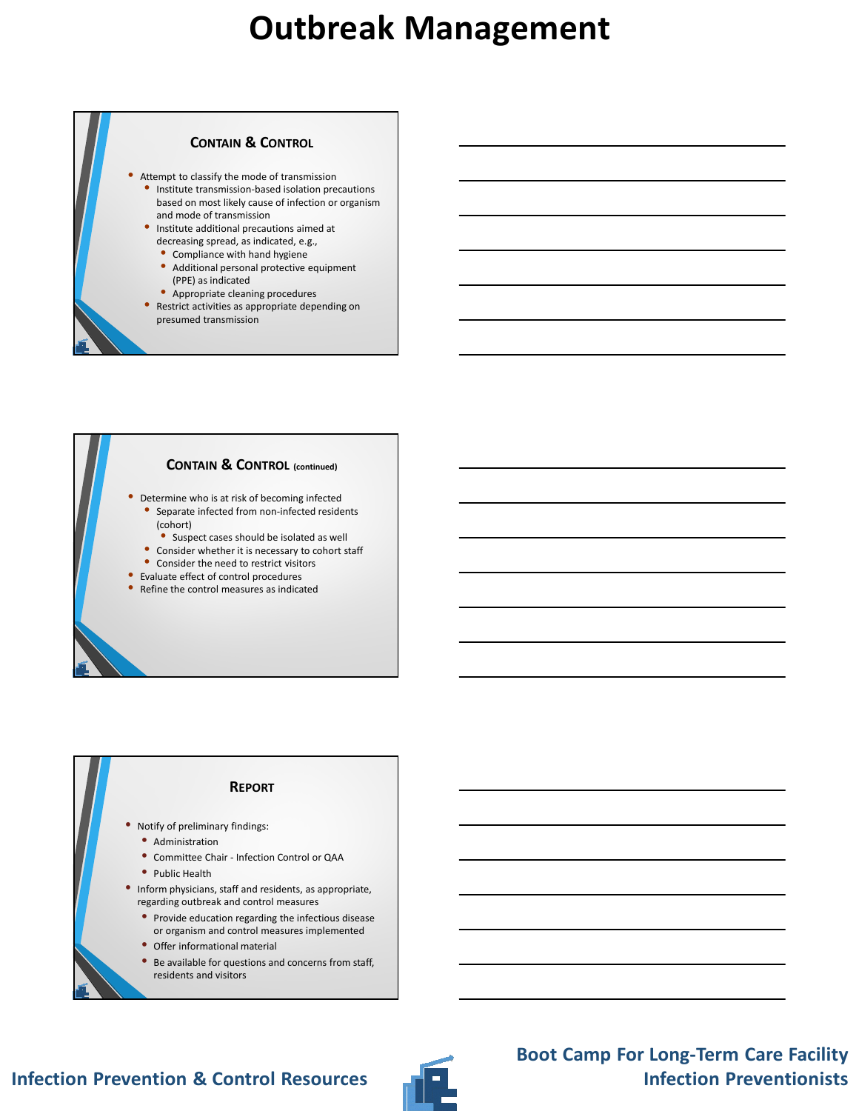

#### **CONTAIN & CONTROL (continued)**

- Determine who is at risk of becoming infected • Separate infected from non-infected residents (cohort)
	- Suspect cases should be isolated as well
	- Consider whether it is necessary to cohort staff
- Consider the need to restrict visitors
- Evaluate effect of control procedures
- Refine the control measures as indicated

#### **REPORT**

- Notify of preliminary findings:
	- Administration
	- Committee Chair Infection Control or QAA
- Public Health
- Inform physicians, staff and residents, as appropriate, regarding outbreak and control measures
	- Provide education regarding the infectious disease or organism and control measures implemented
	- Offer informational material
	- Be available for questions and concerns from staff, residents and visitors